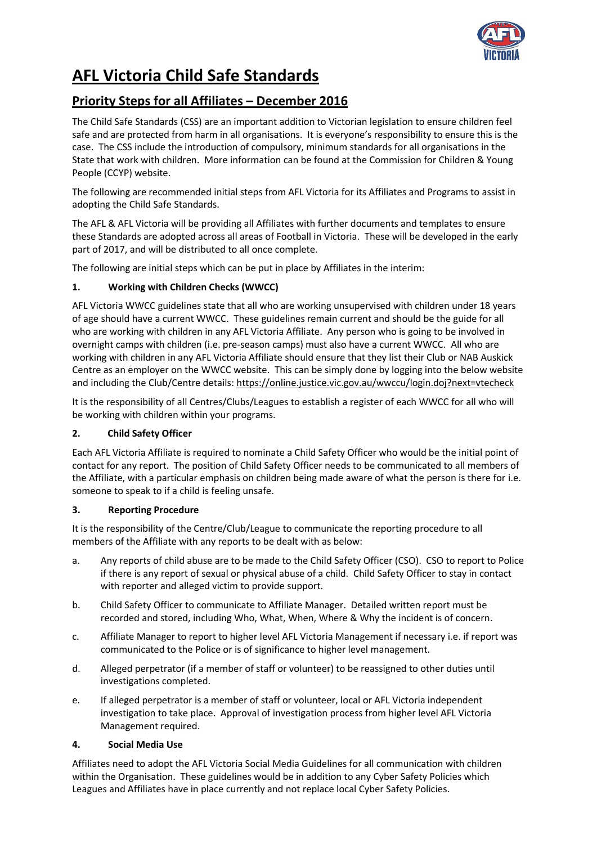

# **AFL Victoria Child Safe Standards**

# **Priority Steps for all Affiliates – December 2016**

The Child Safe Standards (CSS) are an important addition to Victorian legislation to ensure children feel safe and are protected from harm in all organisations. It is everyone's responsibility to ensure this is the case. The CSS include the introduction of compulsory, minimum standards for all organisations in the State that work with children. More information can be found at the Commission for Children & Young People (CCYP) website.

The following are recommended initial steps from AFL Victoria for its Affiliates and Programs to assist in adopting the Child Safe Standards.

The AFL & AFL Victoria will be providing all Affiliates with further documents and templates to ensure these Standards are adopted across all areas of Football in Victoria. These will be developed in the early part of 2017, and will be distributed to all once complete.

The following are initial steps which can be put in place by Affiliates in the interim:

## **1. Working with Children Checks (WWCC)**

AFL Victoria WWCC guidelines state that all who are working unsupervised with children under 18 years of age should have a current WWCC. These guidelines remain current and should be the guide for all who are working with children in any AFL Victoria Affiliate. Any person who is going to be involved in overnight camps with children (i.e. pre-season camps) must also have a current WWCC. All who are working with children in any AFL Victoria Affiliate should ensure that they list their Club or NAB Auskick Centre as an employer on the WWCC website. This can be simply done by logging into the below website and including the Club/Centre details[: https://online.justice.vic.gov.au/wwccu/login.doj?next=vtecheck](https://online.justice.vic.gov.au/wwccu/login.doj?next=vtecheck)

It is the responsibility of all Centres/Clubs/Leagues to establish a register of each WWCC for all who will be working with children within your programs.

## **2. Child Safety Officer**

Each AFL Victoria Affiliate is required to nominate a Child Safety Officer who would be the initial point of contact for any report. The position of Child Safety Officer needs to be communicated to all members of the Affiliate, with a particular emphasis on children being made aware of what the person is there for i.e. someone to speak to if a child is feeling unsafe.

#### **3. Reporting Procedure**

It is the responsibility of the Centre/Club/League to communicate the reporting procedure to all members of the Affiliate with any reports to be dealt with as below:

- a. Any reports of child abuse are to be made to the Child Safety Officer (CSO). CSO to report to Police if there is any report of sexual or physical abuse of a child. Child Safety Officer to stay in contact with reporter and alleged victim to provide support.
- b. Child Safety Officer to communicate to Affiliate Manager. Detailed written report must be recorded and stored, including Who, What, When, Where & Why the incident is of concern.
- c. Affiliate Manager to report to higher level AFL Victoria Management if necessary i.e. if report was communicated to the Police or is of significance to higher level management.
- d. Alleged perpetrator (if a member of staff or volunteer) to be reassigned to other duties until investigations completed.
- e. If alleged perpetrator is a member of staff or volunteer, local or AFL Victoria independent investigation to take place. Approval of investigation process from higher level AFL Victoria Management required.

## **4. Social Media Use**

Affiliates need to adopt the AFL Victoria Social Media Guidelines for all communication with children within the Organisation. These guidelines would be in addition to any Cyber Safety Policies which Leagues and Affiliates have in place currently and not replace local Cyber Safety Policies.